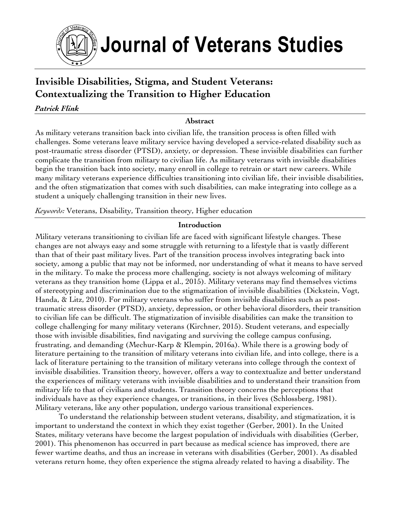

# **Invisible Disabilities, Stigma, and Student Veterans: Contextualizing the Transition to Higher Education**

# *Patrick Flink*

## **Abstract**

As military veterans transition back into civilian life, the transition process is often filled with challenges. Some veterans leave military service having developed a service-related disability such as post-traumatic stress disorder (PTSD), anxiety, or depression. These invisible disabilities can further complicate the transition from military to civilian life. As military veterans with invisible disabilities begin the transition back into society, many enroll in college to retrain or start new careers. While many military veterans experience difficulties transitioning into civilian life, their invisible disabilities, and the often stigmatization that comes with such disabilities, can make integrating into college as a student a uniquely challenging transition in their new lives.

*Keywords:* Veterans, Disability, Transition theory, Higher education

# **Introduction**

Military veterans transitioning to civilian life are faced with significant lifestyle changes. These changes are not always easy and some struggle with returning to a lifestyle that is vastly different than that of their past military lives. Part of the transition process involves integrating back into society, among a public that may not be informed, nor understanding of what it means to have served in the military. To make the process more challenging, society is not always welcoming of military veterans as they transition home (Lippa et al., 2015). Military veterans may find themselves victims of stereotyping and discrimination due to the stigmatization of invisible disabilities (Dickstein, Vogt, Handa, & Litz, 2010). For military veterans who suffer from invisible disabilities such as posttraumatic stress disorder (PTSD), anxiety, depression, or other behavioral disorders, their transition to civilian life can be difficult. The stigmatization of invisible disabilities can make the transition to college challenging for many military veterans (Kirchner, 2015). Student veterans, and especially those with invisible disabilities, find navigating and surviving the college campus confusing, frustrating, and demanding (Mechur-Karp & Klempin, 2016a). While there is a growing body of literature pertaining to the transition of military veterans into civilian life, and into college, there is a lack of literature pertaining to the transition of military veterans into college through the context of invisible disabilities. Transition theory, however, offers a way to contextualize and better understand the experiences of military veterans with invisible disabilities and to understand their transition from military life to that of civilians and students. Transition theory concerns the perceptions that individuals have as they experience changes, or transitions, in their lives (Schlossberg, 1981). Military veterans, like any other population, undergo various transitional experiences.

To understand the relationship between student veterans, disability, and stigmatization, it is important to understand the context in which they exist together (Gerber, 2001). In the United States, military veterans have become the largest population of individuals with disabilities (Gerber, 2001). This phenomenon has occurred in part because as medical science has improved, there are fewer wartime deaths, and thus an increase in veterans with disabilities (Gerber, 2001). As disabled veterans return home, they often experience the stigma already related to having a disability. The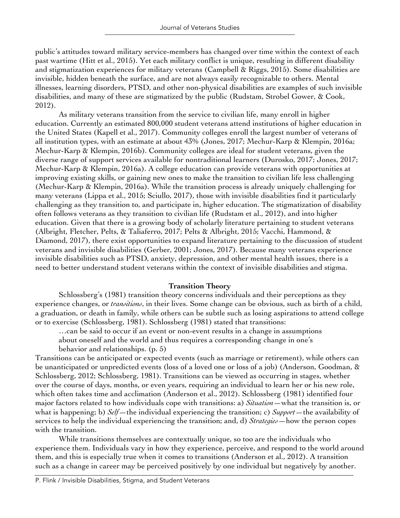public's attitudes toward military service-members has changed over time within the context of each past wartime (Hitt et al., 2015). Yet each military conflict is unique, resulting in different disability and stigmatization experiences for military veterans (Campbell & Riggs, 2015). Some disabilities are invisible, hidden beneath the surface, and are not always easily recognizable to others. Mental illnesses, learning disorders, PTSD, and other non-physical disabilities are examples of such invisible disabilities, and many of these are stigmatized by the public (Rudstam, Strobel Gower, & Cook, 2012).

As military veterans transition from the service to civilian life, many enroll in higher education. Currently an estimated 800,000 student veterans attend institutions of higher education in the United States (Kapell et al., 2017). Community colleges enroll the largest number of veterans of all institution types, with an estimate at about 43% (Jones, 2017; Mechur-Karp & Klempin, 2016a; Mechur-Karp & Klempin, 2016b). Community colleges are ideal for student veterans, given the diverse range of support services available for nontraditional learners (Durosko, 2017; Jones, 2017; Mechur-Karp & Klempin, 2016a). A college education can provide veterans with opportunities at improving existing skills, or gaining new ones to make the transition to civilian life less challenging (Mechur-Karp & Klempin, 2016a). While the transition process is already uniquely challenging for many veterans (Lippa et al., 2015; Sciullo, 2017), those with invisible disabilities find it particularly challenging as they transition to, and participate in, higher education. The stigmatization of disability often follows veterans as they transition to civilian life (Rudstam et al., 2012), and into higher education. Given that there is a growing body of scholarly literature pertaining to student veterans (Albright, Fletcher, Pelts, & Taliaferro, 2017; Pelts & Albright, 2015; Vacchi, Hammond, & Diamond, 2017), there exist opportunities to expand literature pertaining to the discussion of student veterans and invisible disabilities (Gerber, 2001; Jones, 2017). Because many veterans experience invisible disabilities such as PTSD, anxiety, depression, and other mental health issues, there is a need to better understand student veterans within the context of invisible disabilities and stigma.

## **Transition Theory**

Schlossberg's (1981) transition theory concerns individuals and their perceptions as they experience changes, or *transitions*, in their lives. Some change can be obvious, such as birth of a child, a graduation, or death in family, while others can be subtle such as losing aspirations to attend college or to exercise (Schlossberg, 1981). Schlossberg (1981) stated that transitions:

…can be said to occur if an event or non-event results in a change in assumptions

about oneself and the world and thus requires a corresponding change in one's behavior and relationships. (p. 5)

Transitions can be anticipated or expected events (such as marriage or retirement), while others can be unanticipated or unpredicted events (loss of a loved one or loss of a job) (Anderson, Goodman, & Schlossberg, 2012; Schlossberg, 1981). Transitions can be viewed as occurring in stages, whether over the course of days, months, or even years, requiring an individual to learn her or his new role, which often takes time and acclimation (Anderson et al., 2012). Schlossberg (1981) identified four major factors related to how individuals cope with transitions: a) *Situation*—what the transition is, or what is happening; b) *Self*—the individual experiencing the transition; c) *Support*—the availability of services to help the individual experiencing the transition; and, d) *Strategies*—how the person copes with the transition.

While transitions themselves are contextually unique, so too are the individuals who experience them. Individuals vary in how they experience, perceive, and respond to the world around them, and this is especially true when it comes to transitions (Anderson et al., 2012). A transition such as a change in career may be perceived positively by one individual but negatively by another.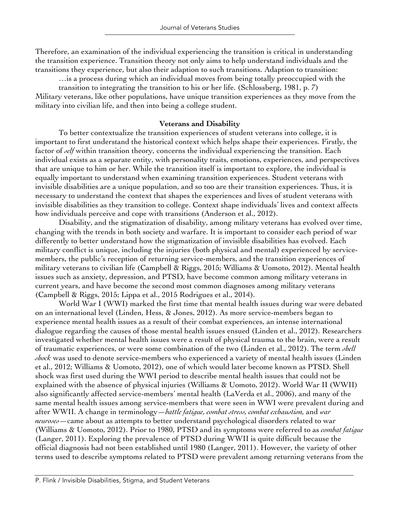Therefore, an examination of the individual experiencing the transition is critical in understanding the transition experience. Transition theory not only aims to help understand individuals and the transitions they experience, but also their adaption to such transitions. Adaption to transition:

…is a process during which an individual moves from being totally preoccupied with the transition to integrating the transition to his or her life. (Schlossberg, 1981, p. 7) Military veterans, like other populations, have unique transition experiences as they move from the military into civilian life, and then into being a college student.

#### **Veterans and Disability**

To better contextualize the transition experiences of student veterans into college, it is important to first understand the historical context which helps shape their experiences. Firstly, the factor of *self* within transition theory, concerns the individual experiencing the transition. Each individual exists as a separate entity, with personality traits, emotions, experiences, and perspectives that are unique to him or her. While the transition itself is important to explore, the individual is equally important to understand when examining transition experiences. Student veterans with invisible disabilities are a unique population, and so too are their transition experiences. Thus, it is necessary to understand the context that shapes the experiences and lives of student veterans with invisible disabilities as they transition to college. Context shape individuals' lives and context affects how individuals perceive and cope with transitions (Anderson et al., 2012).

Disability, and the stigmatization of disability, among military veterans has evolved over time, changing with the trends in both society and warfare. It is important to consider each period of war differently to better understand how the stigmatization of invisible disabilities has evolved. Each military conflict is unique, including the injuries (both physical and mental) experienced by servicemembers, the public's reception of returning service-members, and the transition experiences of military veterans to civilian life (Campbell & Riggs, 2015; Williams & Uomoto, 2012). Mental health issues such as anxiety, depression, and PTSD, have become common among military veterans in current years, and have become the second most common diagnoses among military veterans (Campbell & Riggs, 2015; Lippa et al., 2015 Rodrigues et al., 2014).

World War I (WWI) marked the first time that mental health issues during war were debated on an international level (Linden, Hess, & Jones, 2012). As more service-members began to experience mental health issues as a result of their combat experiences, an intense international dialogue regarding the causes of those mental health issues ensued (Linden et al., 2012). Researchers investigated whether mental health issues were a result of physical trauma to the brain, were a result of traumatic experiences, or were some combination of the two (Linden et al., 2012). The term *shell shock* was used to denote service-members who experienced a variety of mental health issues (Linden et al., 2012; Williams & Uomoto, 2012), one of which would later become known as PTSD. Shell shock was first used during the WWI period to describe mental health issues that could not be explained with the absence of physical injuries (Williams & Uomoto, 2012). World War II (WWII) also significantly affected service-members' mental health (LaVerda et al., 2006), and many of the same mental health issues among service-members that were seen in WWI were prevalent during and after WWII. A change in terminology—*battle fatigue, combat stress, combat exhaustion,* and *war neuroses*—came about as attempts to better understand psychological disorders related to war (Williams & Uomoto, 2012). Prior to 1980, PTSD and its symptoms were referred to as *combat fatigue* (Langer, 2011). Exploring the prevalence of PTSD during WWII is quite difficult because the official diagnosis had not been established until 1980 (Langer, 2011). However, the variety of other terms used to describe symptoms related to PTSD were prevalent among returning veterans from the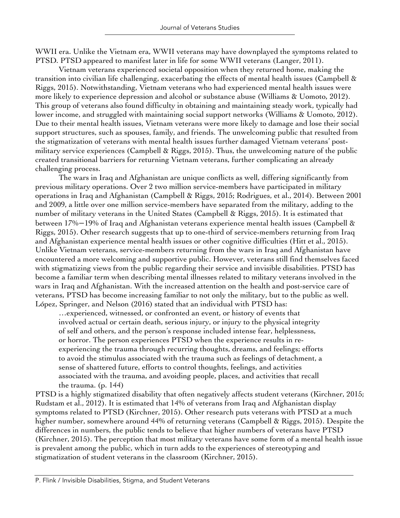WWII era. Unlike the Vietnam era, WWII veterans may have downplayed the symptoms related to PTSD. PTSD appeared to manifest later in life for some WWII veterans (Langer, 2011).

Vietnam veterans experienced societal opposition when they returned home, making the transition into civilian life challenging, exacerbating the effects of mental health issues (Campbell & Riggs, 2015). Notwithstanding, Vietnam veterans who had experienced mental health issues were more likely to experience depression and alcohol or substance abuse (Williams & Uomoto, 2012). This group of veterans also found difficulty in obtaining and maintaining steady work, typically had lower income, and struggled with maintaining social support networks (Williams & Uomoto, 2012). Due to their mental health issues, Vietnam veterans were more likely to damage and lose their social support structures, such as spouses, family, and friends. The unwelcoming public that resulted from the stigmatization of veterans with mental health issues further damaged Vietnam veterans' postmilitary service experiences (Campbell & Riggs, 2015). Thus, the unwelcoming nature of the public created transitional barriers for returning Vietnam veterans, further complicating an already challenging process.

The wars in Iraq and Afghanistan are unique conflicts as well, differing significantly from previous military operations. Over 2 two million service-members have participated in military operations in Iraq and Afghanistan (Campbell & Riggs, 2015; Rodrigues, et al., 2014). Between 2001 and 2009, a little over one million service-members have separated from the military, adding to the number of military veterans in the United States (Campbell & Riggs, 2015). It is estimated that between 17%−19% of Iraq and Afghanistan veterans experience mental health issues (Campbell & Riggs, 2015). Other research suggests that up to one-third of service-members returning from Iraq and Afghanistan experience mental health issues or other cognitive difficulties (Hitt et al., 2015). Unlike Vietnam veterans, service-members returning from the wars in Iraq and Afghanistan have encountered a more welcoming and supportive public. However, veterans still find themselves faced with stigmatizing views from the public regarding their service and invisible disabilities. PTSD has become a familiar term when describing mental illnesses related to military veterans involved in the wars in Iraq and Afghanistan. With the increased attention on the health and post-service care of veterans, PTSD has become increasing familiar to not only the military, but to the public as well. López, Springer, and Nelson (2016) stated that an individual with PTSD has:

…experienced, witnessed, or confronted an event, or history of events that involved actual or certain death, serious injury, or injury to the physical integrity of self and others, and the person's response included intense fear, helplessness, or horror. The person experiences PTSD when the experience results in reexperiencing the trauma through recurring thoughts, dreams, and feelings; efforts to avoid the stimulus associated with the trauma such as feelings of detachment, a sense of shattered future, efforts to control thoughts, feelings, and activities associated with the trauma, and avoiding people, places, and activities that recall the trauma.  $(p. 144)$ 

PTSD is a highly stigmatized disability that often negatively affects student veterans (Kirchner, 2015; Rudstam et al., 2012). It is estimated that 14% of veterans from Iraq and Afghanistan display symptoms related to PTSD (Kirchner, 2015). Other research puts veterans with PTSD at a much higher number, somewhere around 44% of returning veterans (Campbell & Riggs, 2015). Despite the differences in numbers, the public tends to believe that higher numbers of veterans have PTSD (Kirchner, 2015). The perception that most military veterans have some form of a mental health issue is prevalent among the public, which in turn adds to the experiences of stereotyping and stigmatization of student veterans in the classroom (Kirchner, 2015).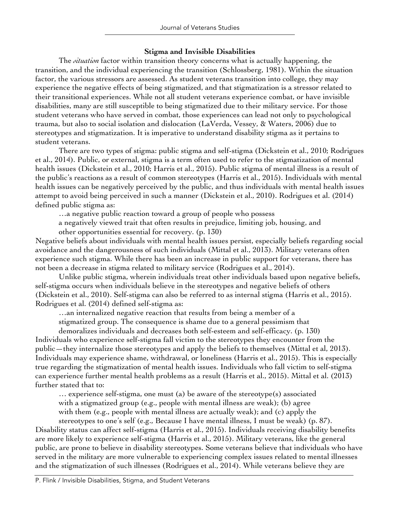## **Stigma and Invisible Disabilities**

The *situation* factor within transition theory concerns what is actually happening, the transition, and the individual experiencing the transition (Schlossberg, 1981). Within the situation factor, the various stressors are assessed. As student veterans transition into college, they may experience the negative effects of being stigmatized, and that stigmatization is a stressor related to their transitional experiences. While not all student veterans experience combat, or have invisible disabilities, many are still susceptible to being stigmatized due to their military service. For those student veterans who have served in combat, those experiences can lead not only to psychological trauma, but also to social isolation and dislocation (LaVerda, Vessey, & Waters, 2006) due to stereotypes and stigmatization. It is imperative to understand disability stigma as it pertains to student veterans.

There are two types of stigma: public stigma and self-stigma (Dickstein et al., 2010; Rodrigues et al., 2014). Public, or external, stigma is a term often used to refer to the stigmatization of mental health issues (Dickstein et al., 2010; Harris et al., 2015). Public stigma of mental illness is a result of the public's reactions as a result of common stereotypes (Harris et al., 2015). Individuals with mental health issues can be negatively perceived by the public, and thus individuals with mental health issues attempt to avoid being perceived in such a manner (Dickstein et al., 2010). Rodrigues et al. (2014) defined public stigma as:

…a negative public reaction toward a group of people who possess

a negatively viewed trait that often results in prejudice, limiting job, housing, and other opportunities essential for recovery. (p. 130)

Negative beliefs about individuals with mental health issues persist, especially beliefs regarding social avoidance and the dangerousness of such individuals (Mittal et al., 2013). Military veterans often experience such stigma. While there has been an increase in public support for veterans, there has not been a decrease in stigma related to military service (Rodrigues et al., 2014).

Unlike public stigma, wherein individuals treat other individuals based upon negative beliefs, self-stigma occurs when individuals believe in the stereotypes and negative beliefs of others (Dickstein et al., 2010). Self-stigma can also be referred to as internal stigma (Harris et al., 2015). Rodrigues et al. (2014) defined self-stigma as:

…an internalized negative reaction that results from being a member of a

stigmatized group. The consequence is shame due to a general pessimism that

demoralizes individuals and decreases both self-esteem and self-efficacy. (p. 130) Individuals who experience self-stigma fall victim to the stereotypes they encounter from the public—they internalize those stereotypes and apply the beliefs to themselves (Mittal et al, 2013). Individuals may experience shame, withdrawal, or loneliness (Harris et al., 2015). This is especially true regarding the stigmatization of mental health issues. Individuals who fall victim to self-stigma can experience further mental health problems as a result (Harris et al., 2015). Mittal et al. (2013) further stated that to:

… experience self-stigma, one must (a) be aware of the stereotype(s) associated with a stigmatized group (e.g., people with mental illness are weak); (b) agree with them (e.g., people with mental illness are actually weak); and (c) apply the

stereotypes to one's self (e.g., Because I have mental illness, I must be weak) (p. 87). Disability status can affect self-stigma (Harris et al., 2015). Individuals receiving disability benefits are more likely to experience self-stigma (Harris et al., 2015). Military veterans, like the general public, are prone to believe in disability stereotypes. Some veterans believe that individuals who have served in the military are more vulnerable to experiencing complex issues related to mental illnesses and the stigmatization of such illnesses (Rodrigues et al., 2014). While veterans believe they are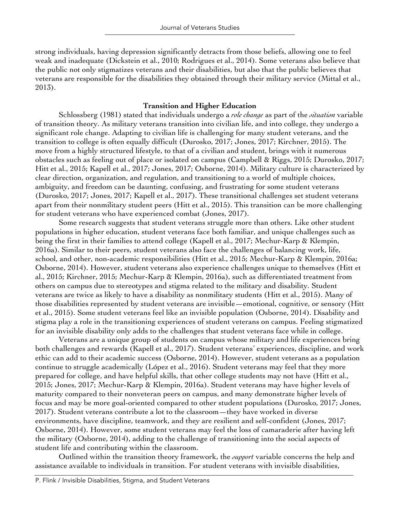strong individuals, having depression significantly detracts from those beliefs, allowing one to feel weak and inadequate (Dickstein et al., 2010; Rodrigues et al., 2014). Some veterans also believe that the public not only stigmatizes veterans and their disabilities, but also that the public believes that veterans are responsible for the disabilities they obtained through their military service (Mittal et al., 2013).

## **Transition and Higher Education**

Schlossberg (1981) stated that individuals undergo a *role change* as part of the *situation* variable of transition theory. As military veterans transition into civilian life, and into college, they undergo a significant role change. Adapting to civilian life is challenging for many student veterans, and the transition to college is often equally difficult (Durosko, 2017; Jones, 2017; Kirchner, 2015). The move from a highly structured lifestyle, to that of a civilian and student, brings with it numerous obstacles such as feeling out of place or isolated on campus (Campbell & Riggs, 2015; Durosko, 2017; Hitt et al., 2015; Kapell et al., 2017; Jones, 2017; Osborne, 2014). Military culture is characterized by clear direction, organization, and regulation, and transitioning to a world of multiple choices, ambiguity, and freedom can be daunting, confusing, and frustrating for some student veterans (Durosko, 2017; Jones, 2017; Kapell et al., 2017). These transitional challenges set student veterans apart from their nonmilitary student peers (Hitt et al., 2015). This transition can be more challenging for student veterans who have experienced combat (Jones, 2017).

Some research suggests that student veterans struggle more than others. Like other student populations in higher education, student veterans face both familiar, and unique challenges such as being the first in their families to attend college (Kapell et al., 2017; Mechur-Karp & Klempin, 2016a). Similar to their peers, student veterans also face the challenges of balancing work, life, school, and other, non-academic responsibilities (Hitt et al., 2015; Mechur-Karp & Klempin, 2016a; Osborne, 2014). However, student veterans also experience challenges unique to themselves (Hitt et al., 2015; Kirchner, 2015; Mechur-Karp & Klempin, 2016a), such as differentiated treatment from others on campus due to stereotypes and stigma related to the military and disability. Student veterans are twice as likely to have a disability as nonmilitary students (Hitt et al., 2015). Many of those disabilities represented by student veterans are invisible—emotional, cognitive, or sensory (Hitt et al., 2015). Some student veterans feel like an invisible population (Osborne, 2014). Disability and stigma play a role in the transitioning experiences of student veterans on campus. Feeling stigmatized for an invisible disability only adds to the challenges that student veterans face while in college.

Veterans are a unique group of students on campus whose military and life experiences bring both challenges and rewards (Kapell et al., 2017). Student veterans' experiences, discipline, and work ethic can add to their academic success (Osborne, 2014). However, student veterans as a population continue to struggle academically (López et al., 2016). Student veterans may feel that they more prepared for college, and have helpful skills, that other college students may not have (Hitt et al., 2015; Jones, 2017; Mechur-Karp & Klempin, 2016a). Student veterans may have higher levels of maturity compared to their nonveteran peers on campus, and many demonstrate higher levels of focus and may be more goal-oriented compared to other student populations (Durosko, 2017; Jones, 2017). Student veterans contribute a lot to the classroom—they have worked in diverse environments, have discipline, teamwork, and they are resilient and self-confident (Jones, 2017; Osborne, 2014). However, some student veterans may feel the loss of camaraderie after having left the military (Osborne, 2014), adding to the challenge of transitioning into the social aspects of student life and contributing within the classroom.

Outlined within the transition theory framework, the *support* variable concerns the help and assistance available to individuals in transition. For student veterans with invisible disabilities,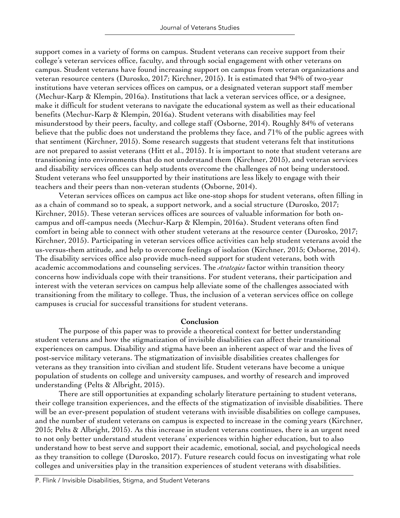support comes in a variety of forms on campus. Student veterans can receive support from their college's veteran services office, faculty, and through social engagement with other veterans on campus. Student veterans have found increasing support on campus from veteran organizations and veteran resource centers (Durosko, 2017; Kirchner, 2015). It is estimated that 94% of two-year institutions have veteran services offices on campus, or a designated veteran support staff member (Mechur-Karp & Klempin, 2016a). Institutions that lack a veteran services office, or a designee, make it difficult for student veterans to navigate the educational system as well as their educational benefits (Mechur-Karp & Klempin, 2016a). Student veterans with disabilities may feel misunderstood by their peers, faculty, and college staff (Osborne, 2014). Roughly 84% of veterans believe that the public does not understand the problems they face, and 71% of the public agrees with that sentiment (Kirchner, 2015). Some research suggests that student veterans felt that institutions are not prepared to assist veterans (Hitt et al., 2015). It is important to note that student veterans are transitioning into environments that do not understand them (Kirchner, 2015), and veteran services and disability services offices can help students overcome the challenges of not being understood. Student veterans who feel unsupported by their institutions are less likely to engage with their teachers and their peers than non-veteran students (Osborne, 2014).

Veteran services offices on campus act like one-stop shops for student veterans, often filling in as a chain of command so to speak, a support network, and a social structure (Durosko, 2017; Kirchner, 2015). These veteran services offices are sources of valuable information for both oncampus and off-campus needs (Mechur-Karp & Klempin, 2016a). Student veterans often find comfort in being able to connect with other student veterans at the resource center (Durosko, 2017; Kirchner, 2015). Participating in veteran services office activities can help student veterans avoid the us-versus-them attitude, and help to overcome feelings of isolation (Kirchner, 2015; Osborne, 2014). The disability services office also provide much-need support for student veterans, both with academic accommodations and counseling services. The *strategies* factor within transition theory concerns how individuals cope with their transitions. For student veterans, their participation and interest with the veteran services on campus help alleviate some of the challenges associated with transitioning from the military to college. Thus, the inclusion of a veteran services office on college campuses is crucial for successful transitions for student veterans.

#### **Conclusion**

The purpose of this paper was to provide a theoretical context for better understanding student veterans and how the stigmatization of invisible disabilities can affect their transitional experiences on campus. Disability and stigma have been an inherent aspect of war and the lives of post-service military veterans. The stigmatization of invisible disabilities creates challenges for veterans as they transition into civilian and student life. Student veterans have become a unique population of students on college and university campuses, and worthy of research and improved understanding (Pelts & Albright, 2015).

There are still opportunities at expanding scholarly literature pertaining to student veterans, their college transition experiences, and the effects of the stigmatization of invisible disabilities. There will be an ever-present population of student veterans with invisible disabilities on college campuses, and the number of student veterans on campus is expected to increase in the coming years (Kirchner, 2015; Pelts & Albright, 2015). As this increase in student veterans continues, there is an urgent need to not only better understand student veterans' experiences within higher education, but to also understand how to best serve and support their academic, emotional, social, and psychological needs as they transition to college (Durosko, 2017). Future research could focus on investigating what role colleges and universities play in the transition experiences of student veterans with disabilities.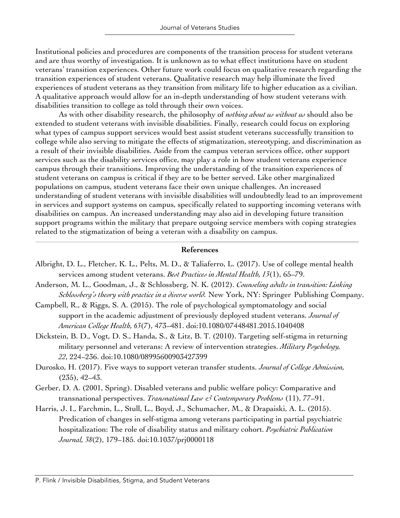Institutional policies and procedures are components of the transition process for student veterans and are thus worthy of investigation. It is unknown as to what effect institutions have on student veterans' transition experiences. Other future work could focus on qualitative research regarding the transition experiences of student veterans. Qualitative research may help illuminate the lived experiences of student veterans as they transition from military life to higher education as a civilian. A qualitative approach would allow for an in-depth understanding of how student veterans with disabilities transition to college as told through their own voices.

As with other disability research, the philosophy of *nothing about us without us* should also be extended to student veterans with invisible disabilities. Finally, research could focus on exploring what types of campus support services would best assist student veterans successfully transition to college while also serving to mitigate the effects of stigmatization, stereotyping, and discrimination as a result of their invisible disabilities. Aside from the campus veteran services office, other support services such as the disability services office, may play a role in how student veterans experience campus through their transitions. Improving the understanding of the transition experiences of student veterans on campus is critical if they are to be better served. Like other marginalized populations on campus, student veterans face their own unique challenges. An increased understanding of student veterans with invisible disabilities will undoubtedly lead to an improvement in services and support systems on campus, specifically related to supporting incoming veterans with disabilities on campus. An increased understanding may also aid in developing future transition support programs within the military that prepare outgoing service members with coping strategies related to the stigmatization of being a veteran with a disability on campus.

## **References**

- Albright, D. L., Fletcher, K. L., Pelts, M. D., & Taliaferro, L. (2017). Use of college mental health services among student veterans. *Best Practices in Mental Health, 13*(1), 65–79.
- Anderson, M. L., Goodman, J., & Schlossberg, N. K. (2012). *Counseling adults in transition: Linking Schlossberg's theory with practice in a diverse world.* New York, NY: Springer Publishing Company.
- Campbell, R., & Riggs, S. A. (2015). The role of psychological symptomatology and social support in the academic adjustment of previously deployed student veterans. *Journal of American College Health, 63*(7), 473–481. doi:10.1080/07448481.2015.1040408
- Dickstein, B. D., Vogt, D. S., Handa, S., & Litz, B. T. (2010). Targeting self-stigma in returning military personnel and veterans: A review of intervention strategies. *Military Psychology, 22*, 224–236. doi:10.1080/08995600903427399
- Durosko, H. (2017). Five ways to support veteran transfer students. *Journal of College Admission,*  (235), 42–43.
- Gerber, D. A. (2001, Spring). Disabled veterans and public welfare policy: Comparative and transnational perspectives. *Transnational Law & Contemporary Problems* (11), 77–91.
- Harris, J. I., Farchmin, L., Stull, L., Boyd, J., Schumacher, M., & Drapaiski, A. L. (2015). Predication of changes in self-stigma among veterans participating in partial psychiatric hospitalization: The role of disability status and military cohort. *Psychiatric Publication Journal, 38*(2), 179–185. doi:10.1037/prj0000118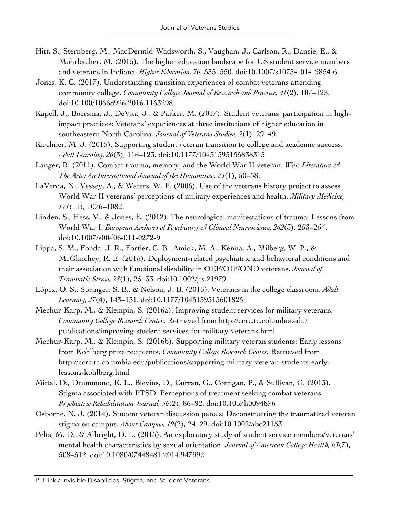- Hitt, S., Sternberg, M., MacDermid-Wadsworth, S., Vaughan, J., Carlson, R., Dansie, E., & Mohrbacher, M. (2015). The higher education landscape for US student service members and veterans in Indiana. *Higher Education, 70*, 535–550. doi:10.1007/s10734-014-9854-6
- Jones, K. C. (2017). Understanding transition experiences of combat veterans attending community college. *Community College Journal of Research and Practice, 41*(2), 107–123. doi:10.100/10668926.2016.1163298
- Kapell, J., Boersma, J., DeVita, J., & Parker, M. (2017). Student veterans' participation in highimpact practices: Veterans' experiences at three institutions of higher education in southeastern North Carolina. *Journal of Veterans Studies, 2*(1), 29–49.
- Kirchner, M. J. (2015). Supporting student veteran transition to college and academic success. *Adult Learning, 26*(3), 116–123. doi:10.1177/10451595155838313
- Langer, R. (2011). Combat trauma, memory, and the World War II veteran. *War, Literature & The Arts: An International Journal of the Humanities, 23*(1), 50–58.
- LaVerda, N., Vessey, A., & Waters, W. F. (2006). Use of the veterans history project to assess World War II veterans' perceptions of military experiences and health. *Military Medicine, 171*(11), 1076–1082.
- Linden, S., Hess, V., & Jones, E. (2012). The neurological manifestations of trauma: Lessons from World War I. *European Archives of Psychiatry & Clinical Neuroscience, 262*(3), 253–264. doi:10.1007/s00406-011-0272-9
- Lippa, S. M., Fonda, J. R., Fortier, C. B., Amick, M. A., Kenna, A., Milberg, W. P., & McGlinchey, R. E. (2015). Deployment-related psychiatric and behavioral conditions and their association with functional disability in OEF/OIF/OND veterans. *Journal of Traumatic Stress, 28*(1), 25–33. doi:10.1002/jts.21979
- López, O. S., Springer, S. B., & Nelson, J. B. (2016). Veterans in the college classroom. *Adult Learning, 27*(4), 143–151. doi:10.1177/1045159515601825
- Mechur-Karp, M., & Klempin, S. (2016a). Improving student services for military veterans. *Community College Research Center*. Retrieved from http://ccrc.tc.columbia.edu/ publications/improving-student-services-for-military-veterans.html
- Mechur-Karp, M., & Klempin, S. (2016b). Supporting military veteran students: Early lessons from Kohlberg prize recipients. *Community College Research Center.* Retrieved from http://ccrc.tc.columbia.edu/publications/supporting-military-veteran-students-earlylessons-kohlberg.html
- Mittal, D., Drummond, K. L., Blevins, D., Curran, G., Corrigan, P., & Sullivan, G. (2013). Stigma associated with PTSD: Perceptions of treatment seeking combat veterans. *Psychiatric Rehabilitation Journal, 36*(2), 86–92. doi:10.1037h0094876
- Osborne, N. J. (2014). Student veteran discussion panels: Deconstructing the traumatized veteran stigma on campus. *About Campus, 19*(2), 24–29. doi:10.1002/abc21153
- Pelts, M. D., & Albright, D. L. (2015). An exploratory study of student service members/veterans' mental health characteristics by sexual orientation. *Journal of American College Health, 63*(7), 508–512. doi:10.1080/07448481.2014.947992